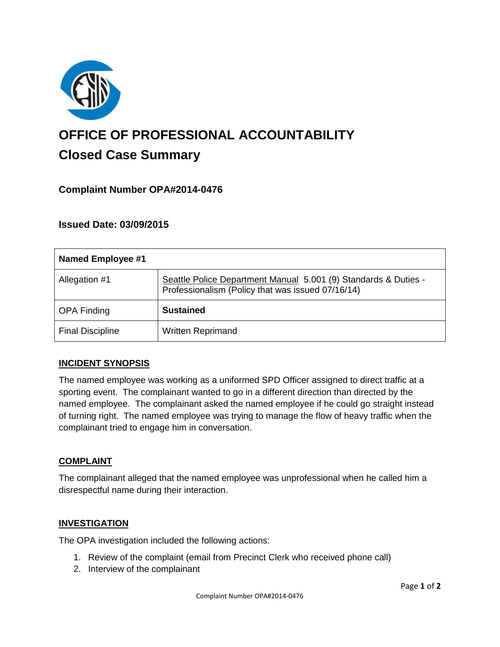

# **OFFICE OF PROFESSIONAL ACCOUNTABILITY Closed Case Summary**

## **Complaint Number OPA#2014-0476**

## **Issued Date: 03/09/2015**

| <b>Named Employee #1</b> |                                                                                                                      |
|--------------------------|----------------------------------------------------------------------------------------------------------------------|
| Allegation #1            | Seattle Police Department Manual 5.001 (9) Standards & Duties -<br>Professionalism (Policy that was issued 07/16/14) |
| <b>OPA Finding</b>       | <b>Sustained</b>                                                                                                     |
| <b>Final Discipline</b>  | <b>Written Reprimand</b>                                                                                             |

#### **INCIDENT SYNOPSIS**

The named employee was working as a uniformed SPD Officer assigned to direct traffic at a sporting event. The complainant wanted to go in a different direction than directed by the named employee. The complainant asked the named employee if he could go straight instead of turning right. The named employee was trying to manage the flow of heavy traffic when the complainant tried to engage him in conversation.

#### **COMPLAINT**

The complainant alleged that the named employee was unprofessional when he called him a disrespectful name during their interaction.

#### **INVESTIGATION**

The OPA investigation included the following actions:

- 1. Review of the complaint (email from Precinct Clerk who received phone call)
- 2. Interview of the complainant